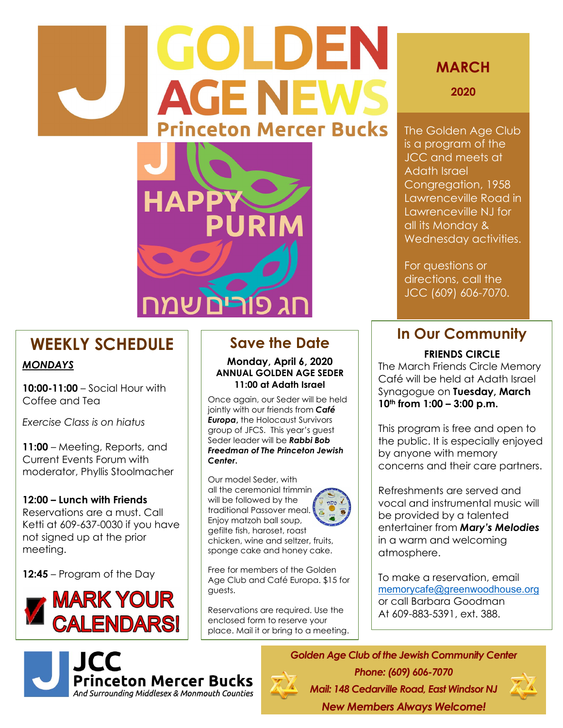## **GOLDEN AGE NEWS Princeton Mercer Bucks**



## **MARCH**

**2020**

The Golden Age Club is a program of the JCC and meets at Adath Israel Congregation, 1958 Lawrenceville Road in Lawrenceville NJ for all its Monday & Wednesday activities.

For questions or directions, call the JCC (609) 606-7070.

## **WEEKLY SCHEDULE**

### *MONDAYS*

**10:00-11:00** – Social Hour with Coffee and Tea

*Exercise Class is on hiatus* 

**11:00** – Meeting, Reports, and Current Events Forum with moderator, Phyllis Stoolmacher

### **12:00 – Lunch with Friends**

Reservations are a must. Call Ketti at 609-637-0030 if you have not signed up at the prior meeting.

**12:45** – Program of the Day





## **Save the Date**

**Monday, April 6, 2020 ANNUAL GOLDEN AGE SEDER 11:00 at Adath Israel**

Once again, our Seder will be held jointly with our friends from *Café Europa***,** the Holocaust Survivors group of JFCS. This year's guest Seder leader will be *Rabbi Bob Freedman of The Princeton Jewish Center***.** 

Our model Seder, with all the ceremonial trimming will be followed by the traditional Passover meal. Enjoy matzoh ball soup, gefilte fish, haroset, roast chicken, wine and seltzer, fruits, sponge cake and honey cake.



Free for members of the Golden Age Club and Café Europa. \$15 for guests.

Reservations are required. Use the enclosed form to reserve your place. Mail it or bring to a meeting.

## **In Our Community**

### **FRIENDS CIRCLE**

The March Friends Circle Memory Café will be held at Adath Israel Synagogue on **Tuesday, March 10th from 1:00 – 3:00 p.m.**

This program is free and open to the public. It is especially enjoyed by anyone with memory concerns and their care partners.

Refreshments are served and vocal and instrumental music will be provided by a talented entertainer from *Mary's Melodies* in a warm and welcoming atmosphere.

To make a reservation, email [memorycafe@greenwoodhouse.org](mailto:memorycafe@greenwoodhouse.org) or call Barbara Goodman At 609-883-5391, ext. 388.

*Golden Age Club of the Jewish Community Center Phone: (609) 606-7070 Mail: 148 Cedarville Road, East Windsor NJ*